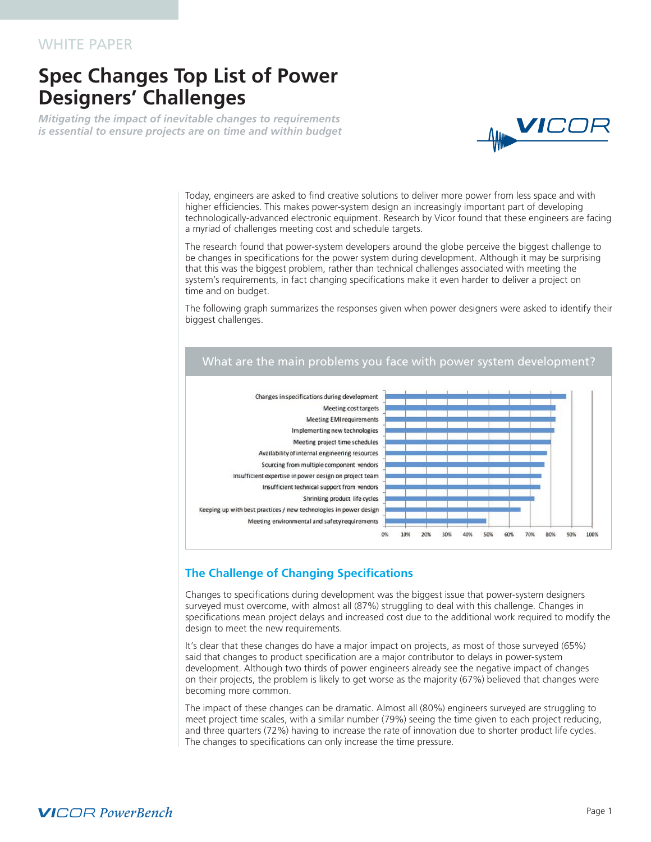# **Spec Changes Top List of Power Designers' Challenges**

*Mitigating the impact of inevitable changes to requirements is essential to ensure projects are on time and within budget*



Today, engineers are asked to find creative solutions to deliver more power from less space and with higher efficiencies. This makes power-system design an increasingly important part of developing technologically-advanced electronic equipment. Research by Vicor found that these engineers are facing a myriad of challenges meeting cost and schedule targets.

The research found that power-system developers around the globe perceive the biggest challenge to be changes in specifications for the power system during development. Although it may be surprising that this was the biggest problem, rather than technical challenges associated with meeting the system's requirements, in fact changing specifications make it even harder to deliver a project on time and on budget.

The following graph summarizes the responses given when power designers were asked to identify their biggest challenges.



## What are the main problems you face with power system development?

## **The Challenge of Changing Specifications**

Changes to specifications during development was the biggest issue that power-system designers surveyed must overcome, with almost all (87%) struggling to deal with this challenge. Changes in specifications mean project delays and increased cost due to the additional work required to modify the design to meet the new requirements.

It's clear that these changes do have a major impact on projects, as most of those surveyed (65%) said that changes to product specification are a major contributor to delays in power-system development. Although two thirds of power engineers already see the negative impact of changes on their projects, the problem is likely to get worse as the majority (67%) believed that changes were becoming more common.

The impact of these changes can be dramatic. Almost all (80%) engineers surveyed are struggling to meet project time scales, with a similar number (79%) seeing the time given to each project reducing, and three quarters (72%) having to increase the rate of innovation due to shorter product life cycles. The changes to specifications can only increase the time pressure.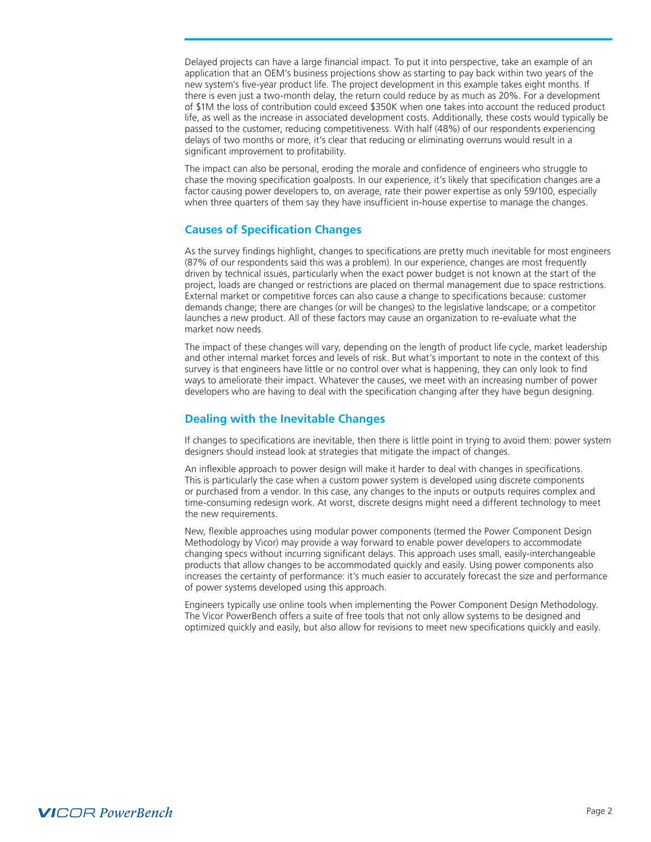Delayed projects can have a large financial impact. To put it into perspective, take an example of an application that an OEM's business projections show as starting to pay back within two years of the new system's five-year product life. The project development in this example takes eight months. If there is even just a two-month delay, the return could reduce by as much as 20%. For a development of \$1M the loss of contribution could exceed \$350K when one takes into account the reduced product life, as well as the increase in associated development costs. Additionally, these costs would typically be passed to the customer, reducing competitiveness. With half (48%) of our respondents experiencing delays of two months or more, it's clear that reducing or eliminating overruns would result in a significant improvement to profitability.

The impact can also be personal, eroding the morale and confidence of engineers who struggle to chase the moving specification goalposts. In our experience, it's likely that specification changes are a factor causing power developers to, on average, rate their power expertise as only 59/100, especially when three quarters of them say they have insufficient in-house expertise to manage the changes.

### **Causes of Specification Changes**

As the survey findings highlight, changes to specifications are pretty much inevitable for most engineers (87% of our respondents said this was a problem). In our experience, changes are most frequently driven by technical issues, particularly when the exact power budget is not known at the start of the project, loads are changed or restrictions are placed on thermal management due to space restrictions. External market or competitive forces can also cause a change to specifications because: customer demands change; there are changes (or will be changes) to the legislative landscape; or a competitor launches a new product. All of these factors may cause an organization to re-evaluate what the market now needs.

The impact of these changes will vary, depending on the length of product life cycle, market leadership and other internal market forces and levels of risk. But what's important to note in the context of this survey is that engineers have little or no control over what is happening, they can only look to find ways to ameliorate their impact. Whatever the causes, we meet with an increasing number of power developers who are having to deal with the specification changing after they have begun designing.

#### **Dealing with the Inevitable Changes**

If changes to specifications are inevitable, then there is little point in trying to avoid them: power system designers should instead look at strategies that mitigate the impact of changes.

An inflexible approach to power design will make it harder to deal with changes in specifications. This is particularly the case when a custom power system is developed using discrete components or purchased from a vendor. In this case, any changes to the inputs or outputs requires complex and time-consuming redesign work. At worst, discrete designs might need a different technology to meet the new requirements.

New, flexible approaches using modular power components (termed the Power Component Design Methodology by Vicor) may provide a way forward to enable power developers to accommodate changing specs without incurring significant delays. This approach uses small, easily-interchangeable products that allow changes to be accommodated quickly and easily. Using power components also increases the certainty of performance: it's much easier to accurately forecast the size and performance of power systems developed using this approach.

Engineers typically use online tools when implementing the Power Component Design Methodology. The Vicor PowerBench offers a suite of free tools that not only allow systems to be designed and optimized quickly and easily, but also allow for revisions to meet new specifications quickly and easily.